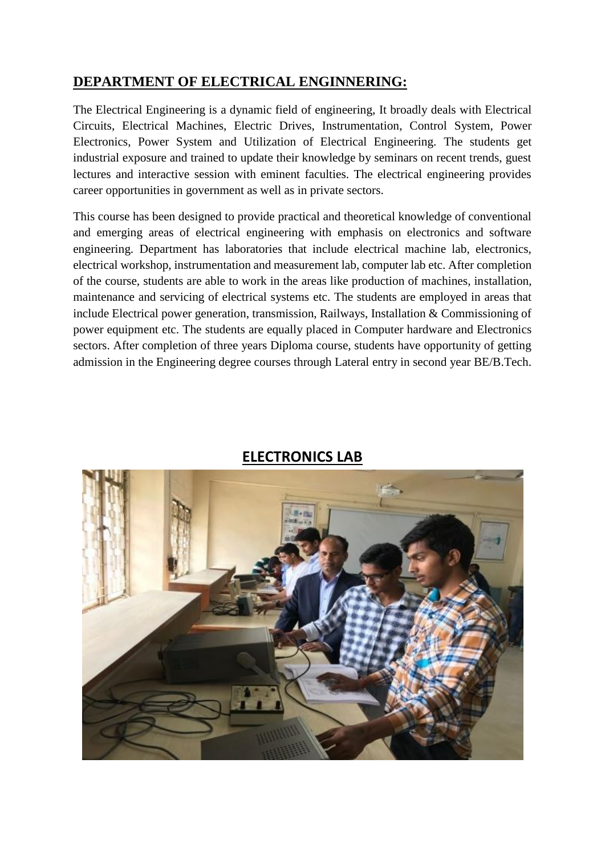### **DEPARTMENT OF ELECTRICAL ENGINNERING:**

The Electrical Engineering is a dynamic field of engineering, It broadly deals with Electrical Circuits, Electrical Machines, Electric Drives, Instrumentation, Control System, Power Electronics, Power System and Utilization of Electrical Engineering. The students get industrial exposure and trained to update their knowledge by seminars on recent trends, guest lectures and interactive session with eminent faculties. The electrical engineering provides career opportunities in government as well as in private sectors.

This course has been designed to provide practical and theoretical knowledge of conventional and emerging areas of electrical engineering with emphasis on electronics and software engineering. Department has laboratories that include electrical machine lab, electronics, electrical workshop, instrumentation and measurement lab, computer lab etc. After completion of the course, students are able to work in the areas like production of machines, installation, maintenance and servicing of electrical systems etc. The students are employed in areas that include Electrical power generation, transmission, Railways, Installation & Commissioning of power equipment etc. The students are equally placed in Computer hardware and Electronics sectors. After completion of three years Diploma course, students have opportunity of getting admission in the Engineering degree courses through Lateral entry in second year BE/B.Tech.



## **ELECTRONICS LAB**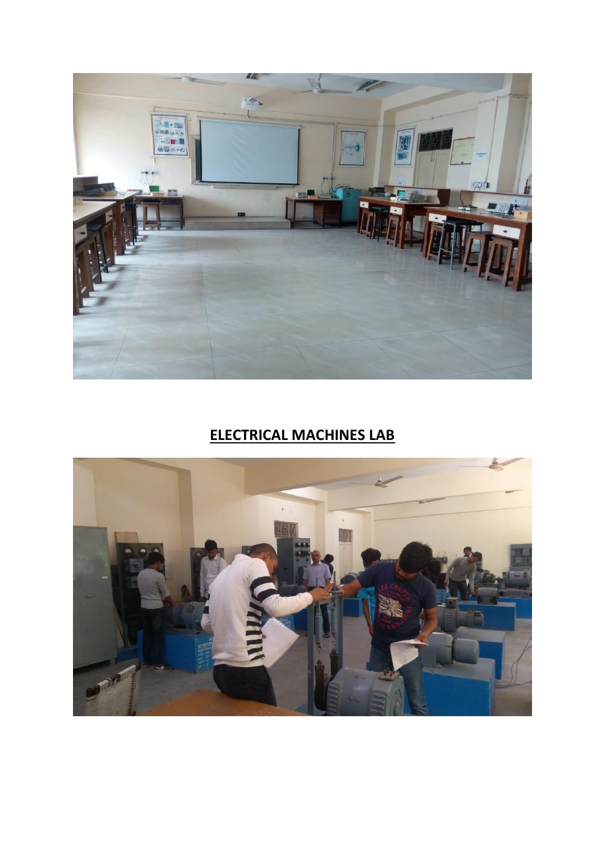

# **ELECTRICAL MACHINES LAB**

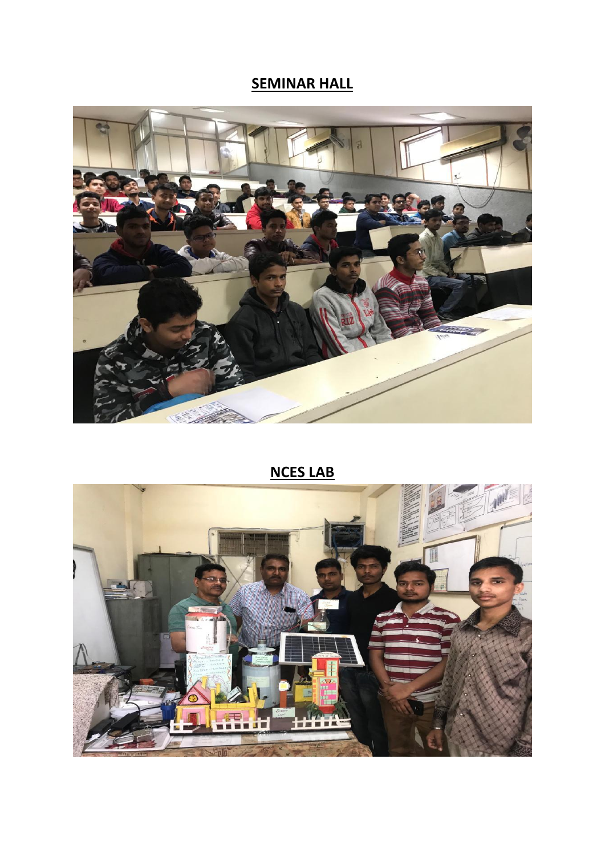## **SEMINAR HALL**



# **NCES LAB**